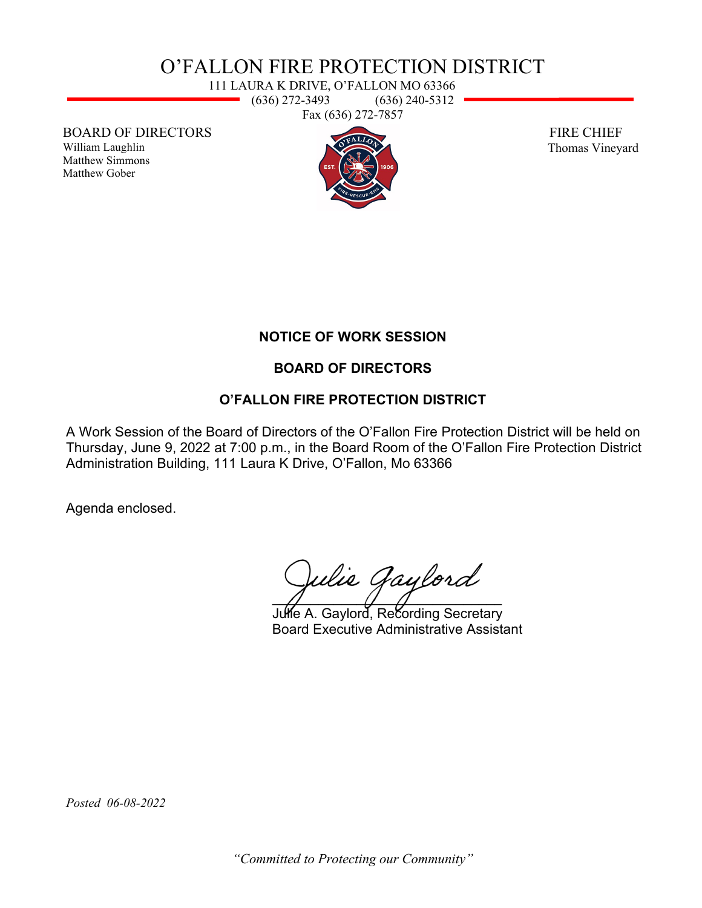# O'FALLON FIRE PROTECTION DISTRICT

111 LAURA K DRIVE, O'FALLON MO 63366  $(636)$  272-3493  $(636)$  240-5312 Fax (636) 272-7857

BOARD OF DIRECTORS

William Laughlin Matthew Simmons Matthew Gober



 FIRE CHIEF Thomas Vineyard

## **NOTICE OF WORK SESSION**

## **BOARD OF DIRECTORS**

## **O'FALLON FIRE PROTECTION DISTRICT**

A Work Session of the Board of Directors of the O'Fallon Fire Protection District will be held on Thursday, June 9, 2022 at 7:00 p.m., in the Board Room of the O'Fallon Fire Protection District Administration Building, 111 Laura K Drive, O'Fallon, Mo 63366

Agenda enclosed.

 $\sqrt{2}$  and  $\sqrt{2}$  and  $\sqrt{2}$  and  $\sqrt{2}$  and  $\sqrt{2}$  and  $\sqrt{2}$  and  $\sqrt{2}$  and  $\sqrt{2}$  and  $\sqrt{2}$  and  $\sqrt{2}$  and  $\sqrt{2}$  and  $\sqrt{2}$  and  $\sqrt{2}$  and  $\sqrt{2}$  and  $\sqrt{2}$  and  $\sqrt{2}$  and  $\sqrt{2}$  and  $\sqrt{2}$  and  $\sqrt{2$ 

Julie A. Gaylord, Recording Secretary Board Executive Administrative Assistant

*Posted 06-08-2022*